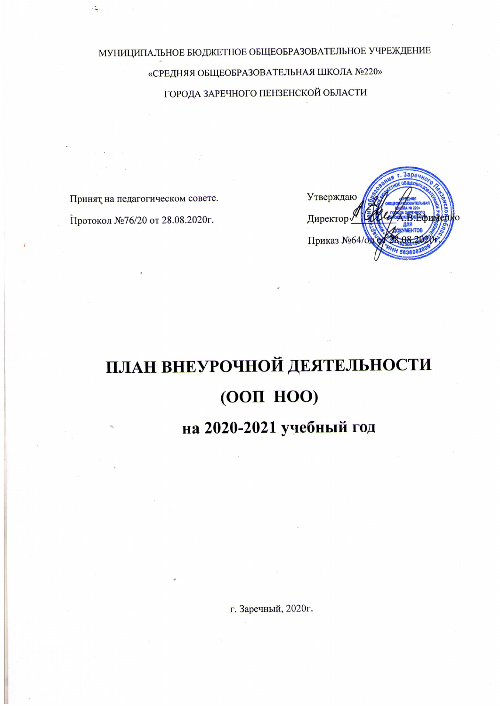МУНИЦИПАЛЬНОЕ БЮДЖЕТНОЕ ОБЩЕОБРАЗОВАТЕЛЬНОЕ УЧРЕЖДЕНИЕ «СРЕДНЯЯ ОБЩЕОБРАЗОВАТЕЛЬНАЯ ШКОЛА №220» ГОРОДА ЗАРЕЧНОГО ПЕНЗЕНСКОЙ ОБЛАСТИ

Принят на педагогическом совете.

Протокол №76/20 от 28.08.2020г.



# ПЛАН ВНЕУРОЧНОЙ ДЕЯТЕЛЬНОСТИ (ООП НОО)

# на 2020-2021 учебный год

г. Заречный, 2020г.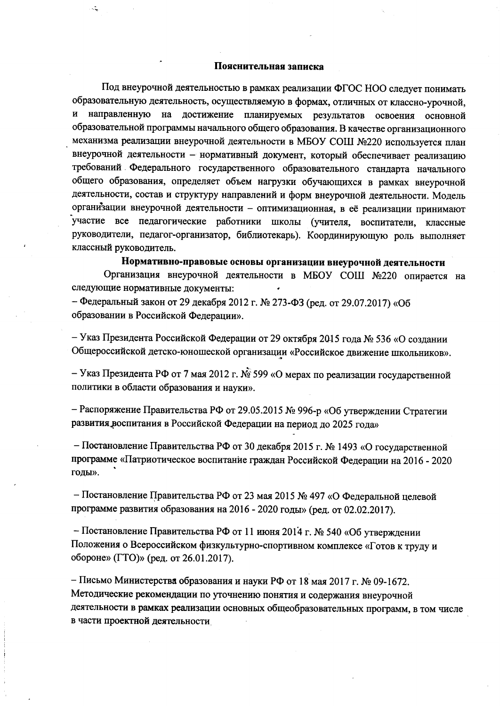#### Пояснительная записка

 $\mathbb{R}^2$ 

Под внеурочной деятельностью в рамках реализации ФГОС НОО следует понимать образовательную деятельность, осуществляемую в формах, отличных от классно-урочной, и направленную на достижение планируемых результатов освоения основной образовательной программы начального общего образования. В качестве организационного механизма реализации внеурочной деятельности в МБОУ СОШ №220 используется план внеурочной деятельности - нормативный документ, который обеспечивает реализацию требований Федерального государственного образовательного стандарта начального общего образования, определяет объем нагрузки обучающихся в рамках внеурочной деятельности, состав и структуру направлений и форм внеурочной деятельности. Модель организации внеурочной деятельности - оптимизационная, в её реализации принимают участие все педагогические работники школы (учителя, воспитатели, классные руководители, педагог-организатор, библиотекарь). Координирующую роль выполняет классный руководитель.

Нормативно-правовые основы организации внеурочной деятельности

Организация внеурочной деятельности в МБОУ СОШ №220 опирается на следующие нормативные документы:

- Федеральный закон от 29 декабря 2012 г. № 273-ФЗ (ред. от 29.07.2017) «Об образовании в Российской Федерации».

- Указ Президента Российской Федерации от 29 октября 2015 года № 536 «О создании Общероссийской детско-юношеской организации «Российское движение школьников».

- Указ Президента РФ от 7 мая 2012 г. № 599 «О мерах по реализации государственной политики в области образования и науки».

- Распоряжение Правительства РФ от 29.05.2015 № 996-р «Об утверждении Стратегии развития воспитания в Российской Федерации на период до 2025 года»

- Постановление Правительства РФ от 30 декабря 2015 г. № 1493 «О государственной программе «Патриотическое воспитание граждан Российской Федерации на 2016 - 2020 годы».

- Постановление Правительства РФ от 23 мая 2015 № 497 «О Федеральной целевой программе развития образования на 2016 - 2020 годы» (ред. от 02.02.2017).

- Постановление Правительства РФ от 11 июня 2014 г. № 540 «Об утверждении Положения о Всероссийском физкультурно-спортивном комплексе «Готов к труду и обороне» (ГТО)» (ред. от 26.01.2017).

- Письмо Министерства образования и науки РФ от 18 мая 2017 г. № 09-1672. Методические рекомендации по уточнению понятия и содержания внеурочной деятельности в рамках реализации основных общеобразовательных программ, в том числе в части проектной деятельности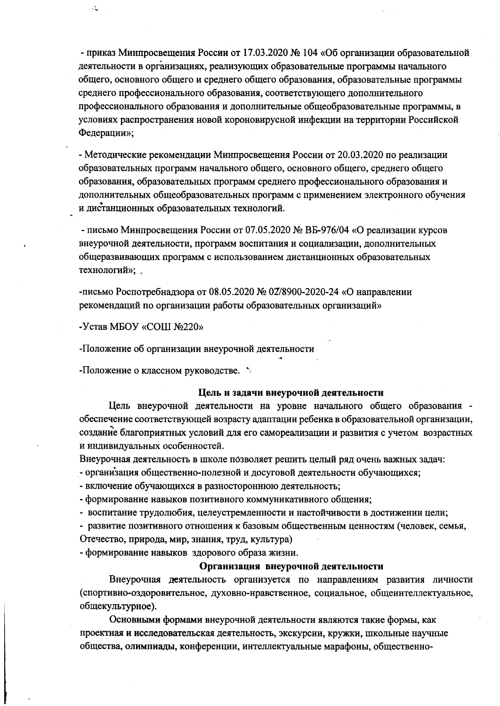- приказ Минпросвещения России от 17.03.2020 № 104 «Об организации образовательной деятельности в организациях, реализующих образовательные программы начального общего, основного общего и среднего общего образования, образовательные программы среднего профессионального образования, соответствующего дополнительного профессионального образования и дополнительные общеобразовательные программы, в условиях распространения новой короновирусной инфекции на территории Российской Федерации»:

- Методические рекомендации Минпросвещения России от 20.03.2020 по реализации образовательных программ начального общего, основного общего, среднего общего образования, образовательных программ среднего профессионального образования и дополнительных общеобразовательных программ с применением электронного обучения и дистанционных образовательных технологий.

- письмо Минпросвещения России от 07.05.2020 № ВБ-976/04 «О реализации курсов внеурочной деятельности, программ воспитания и социализации, дополнительных общеразвивающих программ с использованием дистанционных образовательных технологий»; .

-письмо Роспотребнадзора от 08.05.2020 № 02/8900-2020-24 «О направлении рекомендаций по организации работы образовательных организаций»

-Устав МБОУ «СОШ №220»

 $\mathcal{L}$ 

-Положение об организации внеурочной деятельности

-Положение о классном руководстве. \*

#### Цель и задачи внеурочной деятельности

Цель внеурочной деятельности на уровне начального общего образования обеспечение соответствующей возрасту адаптации ребенка в образовательной организации, создание благоприятных условий для его самореализации и развития с учетом возрастных и индивидуальных особенностей.

Внеурочная деятельность в школе позволяет решить целый ряд очень важных задач:

- организация общественно-полезной и досуговой деятельности обучающихся;

- включение обучающихся в разностороннюю деятельность;

- формирование навыков позитивного коммуникативного общения;

- воспитание трудолюбия, целеустремленности и настойчивости в достижении цели;

- развитие позитивного отношения к базовым общественным ценностям (человек, семья, Отечество, природа, мир, знания, труд, культура)

- формирование навыков здорового образа жизни.

#### Организация внеурочной деятельности

Внеурочная деятельность организуется по направлениям развития личности (спортивно-оздоровительное, духовно-нравственное, социальное, общеинтеллектуальное, общекультурное).

Основными формами внеурочной деятельности являются такие формы, как проектная и исследовательская деятельность, экскурсии, кружки, школьные научные общества, олимпиады, конференции, интеллектуальные марафоны, общественно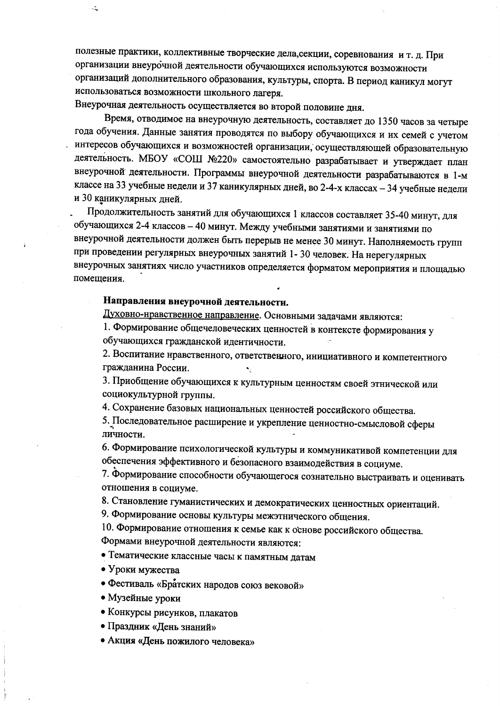полезные практики, коллективные творческие дела, секции, соревнования и т. д. При организации внеурочной деятельности обучающихся используются возможности организаций дополнительного образования, культуры, спорта. В период каникул могут использоваться возможности школьного лагеря.

Внеурочная деятельность осуществляется во второй половине дня.

يتبا

Время, отводимое на внеурочную деятельность, составляет до 1350 часов за четыре года обучения. Данные занятия проводятся по выбору обучающихся и их семей с учетом интересов обучающихся и возможностей организации, осуществляющей образовательную деятельность. МБОУ «СОШ №220» самостоятельно разрабатывает и утверждает план внеурочной деятельности. Программы внеурочной деятельности разрабатываются в 1-м классе на 33 учебные недели и 37 каникулярных дней, во 2-4-х классах - 34 учебные недели и 30 каникулярных дней.

Продолжительность занятий для обучающихся 1 классов составляет 35-40 минут, для обучающихся 2-4 классов - 40 минут. Между учебными занятиями и занятиями по внеурочной деятельности должен быть перерыв не менее 30 минут. Наполняемость групп при проведении регулярных внеурочных занятий 1-30 человек. На нерегулярных внеурочных занятиях число участников определяется форматом мероприятия и площадью помешения.

#### Направления внеурочной деятельности.

Духовно-нравственное направление. Основными задачами являются:

1. Формирование общечеловеческих ценностей в контексте формирования у обучающихся гражданской идентичности.

2. Воспитание нравственного, ответственного, инициативного и компетентного гражданина России.

3. Приобщение обучающихся к культурным ценностям своей этнической или социокультурной группы.

4. Сохранение базовых национальных ценностей российского общества.

5. Последовательное расширение и укрепление ценностно-смысловой сферы личности.

6. Формирование психологической культуры и коммуникативой компетенции для обеспечения эффективного и безопасного взаимодействия в социуме.

7. Формирование способности обучающегося сознательно выстраивать и оценивать отношения в социуме.

8. Становление гуманистических и демократических ценностных ориентаций.

9. Формирование основы культуры межэтнического общения.

10. Формирование отношения к семье как к основе российского общества. Формами внеурочной деятельности являются:

• Тематические классные часы к памятным датам

• Уроки мужества

• Фестиваль «Братских народов союз вековой»

• Музейные уроки

• Конкурсы рисунков, плакатов

• Праздник «День знаний»

• Акция «День пожилого человека»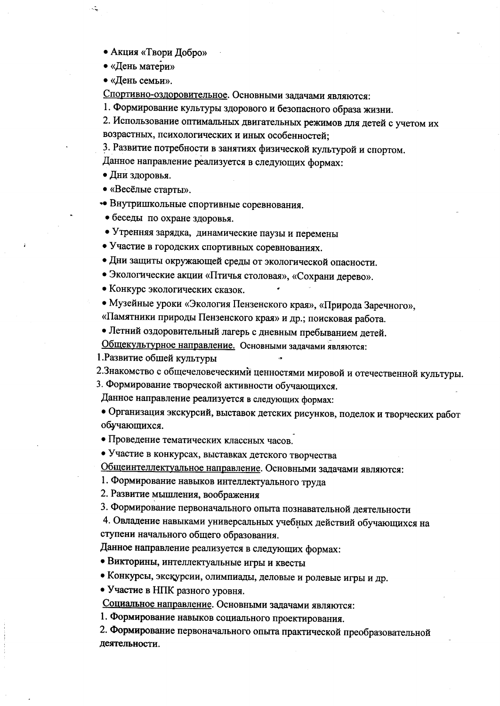- Акция «Твори Добро»
- «День матери»

 $\ddot{\cdot}$ 

• «День семьи».

Спортивно-оздоровительное. Основными задачами являются:

1. Формирование культуры здорового и безопасного образа жизни.

2. Использование оптимальных двигательных режимов для детей с учетом их возрастных, психологических и иных особенностей:

3. Развитие потребности в занятиях физической культурой и спортом.

Данное направление реализуется в следующих формах:

- Дни здоровья.
- «Весёлые старты».
- Внутришкольные спортивные соревнования.
- беседы по охране здоровья.
- Утренняя зарядка, динамические паузы и перемены
- Участие в городских спортивных соревнованиях.
- Дни защиты окружающей среды от экологической опасности.
- Экологические акции «Птичья столовая», «Сохрани дерево».
- Конкурс экологических сказок.
- Музейные уроки «Экология Пензенского края», «Природа Заречного»,

«Памятники природы Пензенского края» и др.; поисковая работа.

• Летний оздоровительный лагерь с дневным пребыванием детей.

Общекультурное направление. Основными задачами являются:

1. Развитие обшей культуры

2. Знакомство с общечеловеческими ценностями мировой и отечественной культуры.

3. Формирование творческой активности обучающихся.

Данное направление реализуется в следующих формах:

• Организация экскурсий, выставок детских рисунков, поделок и творческих работ обучающихся.

• Проведение тематических классных часов.

• Участие в конкурсах, выставках детского творчества

Общеинтеллектуальное направление. Основными задачами являются:

1. Формирование навыков интеллектуального труда

2. Развитие мышления, воображения

3. Формирование первоначального опыта познавательной деятельности

4. Овладение навыками универсальных учебных действий обучающихся на ступени начального общего образования.

Данное направление реализуется в следующих формах:

• Викторины, интеллектуальные игры и квесты

• Конкурсы, экскурсии, олимпиады, деловые и ролевые игры и др.

• Участие в НПК разного уровня.

Социальное направление. Основными задачами являются:

1. Формирование навыков социального проектирования.

2. Формирование первоначального опыта практической преобразовательной деятельности.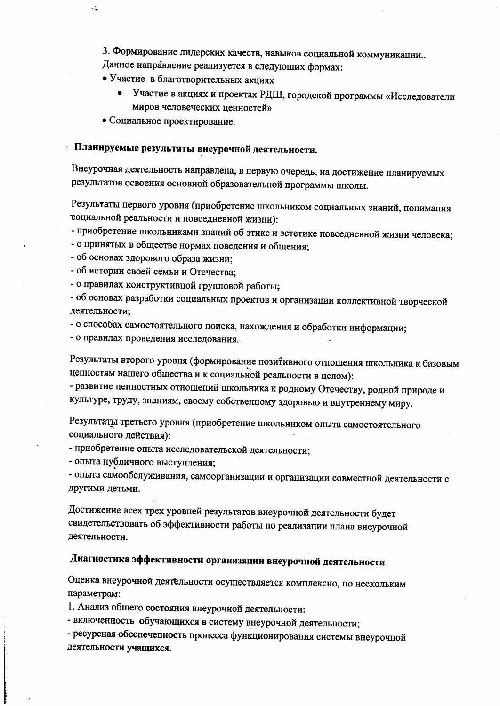3. Формирование лидерских качеств, навыков социальной коммуникации.. Данное направление реализуется в следующих формах:

• Участие в благотворительных акциях

- Участие в акциях и проектах РДШ, городской программы «Исследователи миров человеческих ценностей»
- Социальное проектирование.

يتبار

### Планируемые результаты внеурочной деятельности.

Внеурочная деятельность направлена, в первую очередь, на достижение планируемых результатов освоения основной образовательной программы школы.

Результаты первого уровня (приобретение школьником социальных знаний, понимания социальной реальности и повседневной жизни):

- приобретение школьниками знаний об этике и эстетике повседневной жизни человека;
- о принятых в обществе нормах поведения и общения;
- об основах здорового образа жизни;

- об истории своей семьи и Отечества;

- о правилах конструктивной групповой работы;

- об основах разработки социальных проектов и организации коллективной творческой деятельности:

- о способах самостоятельного поиска, нахождения и обработки информации;
- о правилах проведения исследования.

Результаты второго уровня (формирование позитивного отношения школьника к базовым ценностям нашего общества и к социальной реальности в целом):

- развитие ценностных отношений школьника к родному Отечеству, родной природе и культуре, труду, знаниям, своему собственному здоровью и внутреннему миру.

Результаты третьего уровня (приобретение школьником опыта самостоятельного социального действия):

- приобретение опыта исследовательской деятельности;

- опыта публичного выступления;

- опыта самообслуживания, самоорганизации и организации совместной деятельности с другими детьми.

Достижение всех трех уровней результатов внеурочной деятельности будет свидетельствовать об эффективности работы по реализации плана внеурочной деятельности.

## Диагностика эффективности организации внеурочной деятельности

Оценка внеурочной деятельности осуществляется комплексно, по нескольким параметрам:

1. Анализ общего состояния внеурочной деятельности:

- включенность обучающихся в систему внеурочной деятельности;

- ресурсная обеспеченность процесса функционирования системы внеурочной деятельности учащихся.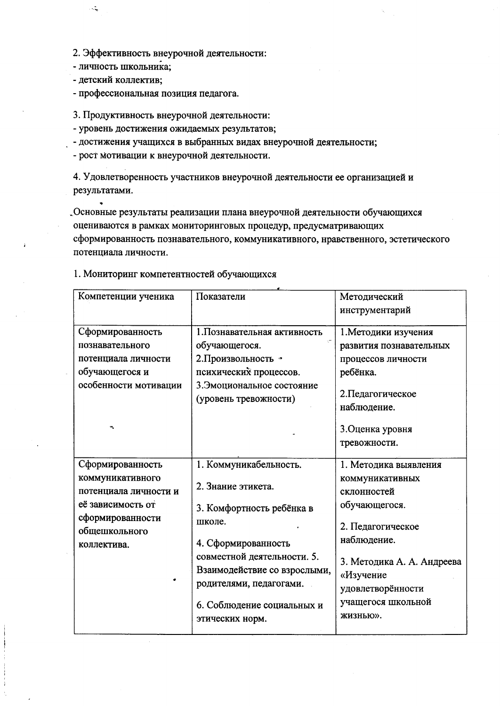- 2. Эффективность внеурочной деятельности:
- личность школьника;
- детский коллектив;

 $\mathcal{L}$ 

- профессиональная позиция педагога.

3. Продуктивность внеурочной деятельности:

- уровень достижения ожидаемых результатов;
- достижения учащихся в выбранных видах внеурочной деятельности;
- рост мотивации к внеурочной деятельности.

4. Удовлетворенность участников внеурочной деятельности ее организацией и результатами.

"Основные результаты реализации плана внеурочной деятельности обучающихся оцениваются в рамках мониторинговых процедур, предусматривающих сформированность познавательного, коммуникативного, нравственного, эстетического потенциала личности.

| Компетенции ученика                              | Показатели                                                                             | Методический                                                 |
|--------------------------------------------------|----------------------------------------------------------------------------------------|--------------------------------------------------------------|
|                                                  |                                                                                        | инструментарий                                               |
|                                                  |                                                                                        |                                                              |
| Сформированность                                 | 1. Познавательная активность                                                           | 1. Методики изучения                                         |
| познавательного                                  | обучающегося.                                                                          | развития познавательных                                      |
| потенциала личности                              | 2. Произвольность *                                                                    | процессов личности                                           |
| обучающегося и                                   | психических процессов.                                                                 | ребёнка.                                                     |
| особенности мотивации                            | 3. Эмоциональное состояние<br>(уровень тревожности)                                    | 2. Педагогическое                                            |
|                                                  |                                                                                        | наблюдение.                                                  |
|                                                  |                                                                                        | 3. Оценка уровня                                             |
|                                                  |                                                                                        | тревожности.                                                 |
|                                                  |                                                                                        |                                                              |
| Сформированность                                 | 1. Коммуникабельность.                                                                 | 1. Методика выявления                                        |
| коммуникативного                                 |                                                                                        | коммуникативных                                              |
| потенциала личности и                            | 2. Знание этикета.                                                                     | склонностей                                                  |
| её зависимость от                                | 3. Комфортность ребёнка в                                                              | обучающегося.                                                |
| сформированности<br>общешкольного<br>коллектива. | школе.                                                                                 | 2. Педагогическое                                            |
|                                                  | 4. Сформированность                                                                    | наблюдение.                                                  |
|                                                  | совместной деятельности. 5.<br>Взаимодействие со взрослыми,<br>родителями, педагогами. | 3. Методика А. А. Андреева<br>«Изучение<br>удовлетворённости |
|                                                  | 6. Соблюдение социальных и<br>этических норм.                                          | учащегося школьной<br>ЖИЗНЬЮ».                               |
|                                                  |                                                                                        |                                                              |

1. Мониторинг компетентностей обучающихся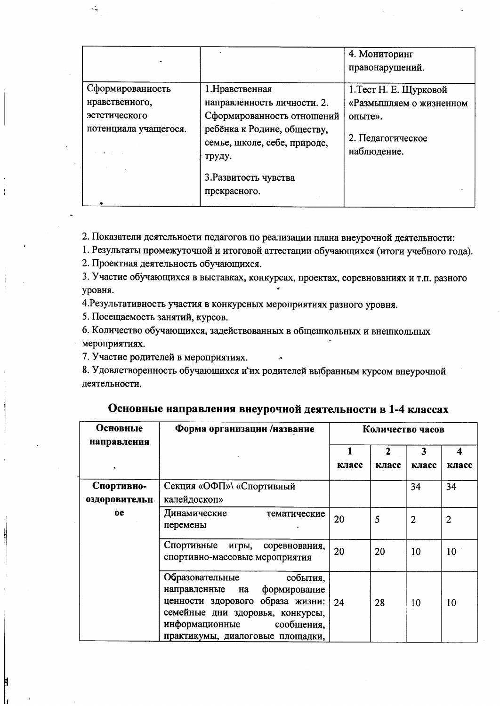|                                                                                                       |                                                                                                                                                                                                | 4. Мониторинг<br>правонарушений.                                                                 |
|-------------------------------------------------------------------------------------------------------|------------------------------------------------------------------------------------------------------------------------------------------------------------------------------------------------|--------------------------------------------------------------------------------------------------|
| Сформированность<br>нравственного,<br>эстетического<br>потенциала учащегося.<br><b>Report Follows</b> | 1. Нравственная<br>направленность личности. 2.<br>Сформированность отношений<br>ребёнка к Родине, обществу,<br>семье, школе, себе, природе,<br>труду.<br>3. Развитость чувства<br>прекрасного. | 1. Тест Н. Е. Щурковой<br>«Размышляем о жизненном<br>опыте».<br>2. Педагогическое<br>наблюдение. |

2. Показатели деятельности педагогов по реализации плана внеурочной деятельности:

1. Результаты промежуточной и итоговой аттестации обучающихся (итоги учебного года).

2. Проектная деятельность обучающихся.

3. Участие обучающихся в выставках, конкурсах, проектах, соревнованиях и т.п. разного уровня.

4. Результативность участия в конкурсных мероприятиях разного уровня.

5. Посещаемость занятий, курсов.

 $\ddot{\cdot}$ 

6. Количество обучающихся, задействованных в общешкольных и внешкольных мероприятиях.

7. Участие родителей в мероприятиях.

8. Удовлетворенность обучающихся и их родителей выбранным курсом внеурочной деятельности.

| Осповные                    | Форма организации /название                                                                                                                                                                                |       | Количество часов      |                |            |
|-----------------------------|------------------------------------------------------------------------------------------------------------------------------------------------------------------------------------------------------------|-------|-----------------------|----------------|------------|
| направления                 |                                                                                                                                                                                                            | класс | $\mathbf{2}$<br>класс | 3<br>класс     | Δ<br>класс |
| Спортивно-<br>оздоровительн | Секция «ОФП»\ «Спортивный<br>калейдоскоп»                                                                                                                                                                  |       |                       | 34             | 34         |
| <sub>0e</sub>               | Динамические<br>тематические<br>перемены                                                                                                                                                                   | 20    | 5                     | $\overline{2}$ | 2          |
|                             | Спортивные<br>игры, соревнования,<br>спортивно-массовые мероприятия                                                                                                                                        | 20    | 20                    | 10             | 10         |
|                             | Образовательные<br>события,<br>формирование<br>направленные на<br>ценности здорового образа жизни:<br>семейные дни здоровья, конкурсы,<br>информационные<br>сообщения,<br>практикумы, диалоговые площадки, | 24    | 28                    | 10             | 10         |

Основные направления внеурочной деятельности в 1-4 классах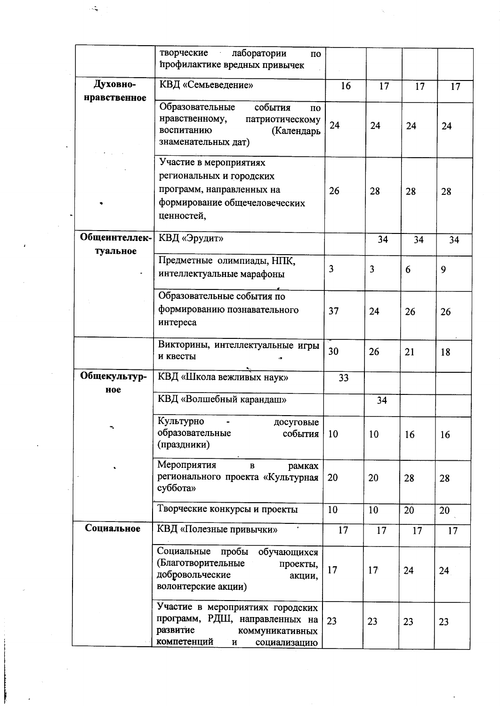|                           | творческие<br>лаборатории<br>$\overline{10}$<br>профилактике вредных привычек                                                                    |                |    |    |    |
|---------------------------|--------------------------------------------------------------------------------------------------------------------------------------------------|----------------|----|----|----|
| Духовно-<br>нравственное  | КВД «Семьеведение»                                                                                                                               | 16             | 17 | 17 | 17 |
|                           | Образовательные<br>события<br>$\Pi$ <sup>O</sup><br>нравственному,<br>патриотическому<br>воспитанию<br>(Календарь<br>знаменательных дат)         | 24             | 24 | 24 | 24 |
|                           | Участие в мероприятиях<br>региональных и городских<br>программ, направленных на<br>формирование общечеловеческих<br>ценностей,                   | 26             | 28 | 28 | 28 |
| Общеинтеллек-<br>туальное | КВД «Эрудит»                                                                                                                                     |                | 34 | 34 | 34 |
|                           | Предметные олимпиады, НПК,<br>интеллектуальные марафоны                                                                                          | $\overline{3}$ | 3  | 6  | 9  |
|                           | Образовательные события по<br>формированию познавательного<br>интереса                                                                           | 37             | 24 | 26 | 26 |
|                           | Викторины, интеллектуальные игры<br>и квесты                                                                                                     | 30             | 26 | 21 | 18 |
| Общекультур-<br>ное       | КВД «Школа вежливых наук»                                                                                                                        | 33             |    |    |    |
|                           | КВД «Волшебный карандаш»                                                                                                                         |                | 34 |    |    |
|                           | Культурно<br>досуговые<br>образовательные<br>события<br>(праздники)                                                                              | 10             | 10 | 16 | 16 |
|                           | Мероприятия<br>$\, {\bf B}$<br>рамках<br>регионального проекта «Культурная<br>суббота»                                                           | 20             | 20 | 28 | 28 |
|                           | Творческие конкурсы и проекты                                                                                                                    | 10             | 10 | 20 | 20 |
| Социальное                | КВД «Полезные привычки»                                                                                                                          | 17             | 17 | 17 | 17 |
|                           | Социальные пробы обучающихся<br>(Благотворительные<br>проекты,<br>добровольческие<br>акции,<br>волонтерские акции)                               | 17             | 17 | 24 | 24 |
|                           | Участие в мероприятиях городских<br>программ, РДШ, направленных на<br>развитие<br>коммуникативных<br>компетенций<br>$\, {\bf H}$<br>социализацию | 23             | 23 | 23 | 23 |

 $\mathcal{A}$ 

 $\hat{\pmb{\epsilon}}$ 

 $\sim$ 

 $\vec{\mu}$ 

ستأنف المستقلب ومستعقدهم

 $\bar{z}$ 

 $\label{eq:1} \frac{1}{N}\sum_{i=1}^N\frac{1}{N_i}$